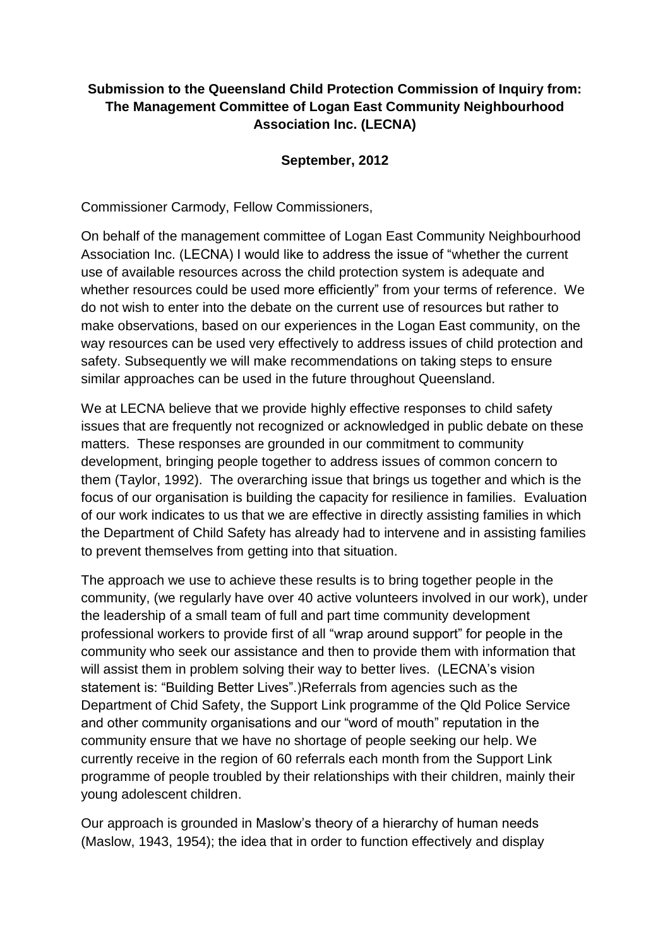## **Submission to the Queensland Child Protection Commission of Inquiry from: The Management Committee of Logan East Community Neighbourhood Association Inc. (LECNA)**

## **September, 2012**

Commissioner Carmody, Fellow Commissioners,

On behalf of the management committee of Logan East Community Neighbourhood Association Inc. (LECNA) I would like to address the issue of "whether the current use of available resources across the child protection system is adequate and whether resources could be used more efficiently" from your terms of reference. We do not wish to enter into the debate on the current use of resources but rather to make observations, based on our experiences in the Logan East community, on the way resources can be used very effectively to address issues of child protection and safety. Subsequently we will make recommendations on taking steps to ensure similar approaches can be used in the future throughout Queensland.

We at LECNA believe that we provide highly effective responses to child safety issues that are frequently not recognized or acknowledged in public debate on these matters. These responses are grounded in our commitment to community development, bringing people together to address issues of common concern to them [\(Taylor, 1992\)](#page-3-0). The overarching issue that brings us together and which is the focus of our organisation is building the capacity for resilience in families. Evaluation of our work indicates to us that we are effective in directly assisting families in which the Department of Child Safety has already had to intervene and in assisting families to prevent themselves from getting into that situation.

The approach we use to achieve these results is to bring together people in the community, (we regularly have over 40 active volunteers involved in our work), under the leadership of a small team of full and part time community development professional workers to provide first of all "wrap around support" for people in the community who seek our assistance and then to provide them with information that will assist them in problem solving their way to better lives. (LECNA's vision statement is: "Building Better Lives".)Referrals from agencies such as the Department of Chid Safety, the Support Link programme of the Qld Police Service and other community organisations and our "word of mouth" reputation in the community ensure that we have no shortage of people seeking our help. We currently receive in the region of 60 referrals each month from the Support Link programme of people troubled by their relationships with their children, mainly their young adolescent children.

Our approach is grounded in Maslow's theory of a hierarchy of human needs [\(Maslow, 1943,](#page-3-1) [1954\)](#page-3-2); the idea that in order to function effectively and display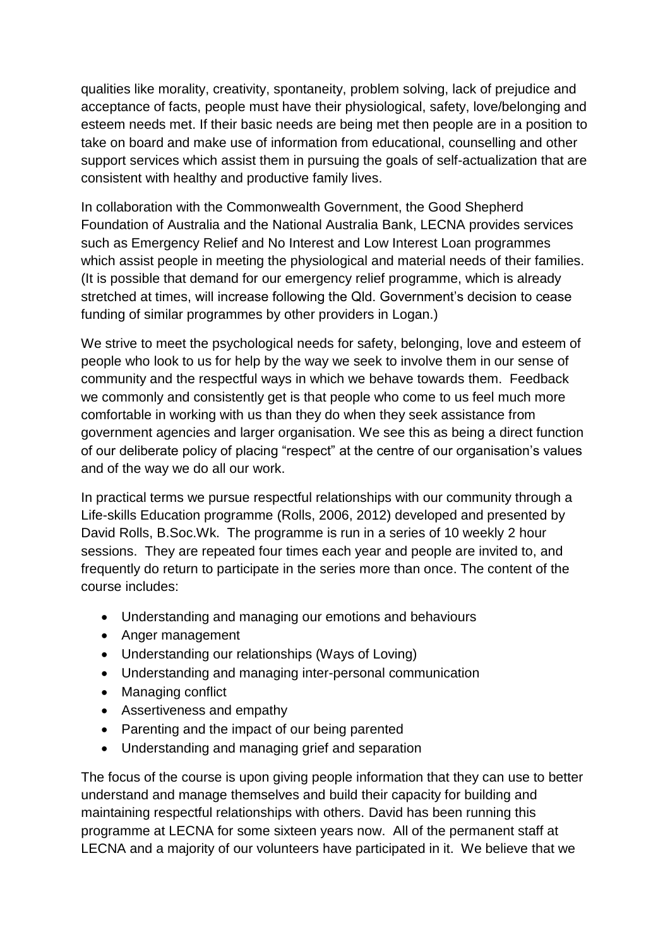qualities like morality, creativity, spontaneity, problem solving, lack of prejudice and acceptance of facts, people must have their physiological, safety, love/belonging and esteem needs met. If their basic needs are being met then people are in a position to take on board and make use of information from educational, counselling and other support services which assist them in pursuing the goals of self-actualization that are consistent with healthy and productive family lives.

In collaboration with the Commonwealth Government, the Good Shepherd Foundation of Australia and the National Australia Bank, LECNA provides services such as Emergency Relief and No Interest and Low Interest Loan programmes which assist people in meeting the physiological and material needs of their families. (It is possible that demand for our emergency relief programme, which is already stretched at times, will increase following the Qld. Government's decision to cease funding of similar programmes by other providers in Logan.)

We strive to meet the psychological needs for safety, belonging, love and esteem of people who look to us for help by the way we seek to involve them in our sense of community and the respectful ways in which we behave towards them. Feedback we commonly and consistently get is that people who come to us feel much more comfortable in working with us than they do when they seek assistance from government agencies and larger organisation. We see this as being a direct function of our deliberate policy of placing "respect" at the centre of our organisation's values and of the way we do all our work.

In practical terms we pursue respectful relationships with our community through a Life-skills Education programme [\(Rolls, 2006,](#page-3-3) [2012\)](#page-3-4) developed and presented by David Rolls, B.Soc.Wk. The programme is run in a series of 10 weekly 2 hour sessions. They are repeated four times each year and people are invited to, and frequently do return to participate in the series more than once. The content of the course includes:

- Understanding and managing our emotions and behaviours
- Anger management
- Understanding our relationships (Ways of Loving)
- Understanding and managing inter-personal communication
- Managing conflict
- Assertiveness and empathy
- Parenting and the impact of our being parented
- Understanding and managing grief and separation

The focus of the course is upon giving people information that they can use to better understand and manage themselves and build their capacity for building and maintaining respectful relationships with others. David has been running this programme at LECNA for some sixteen years now. All of the permanent staff at LECNA and a majority of our volunteers have participated in it. We believe that we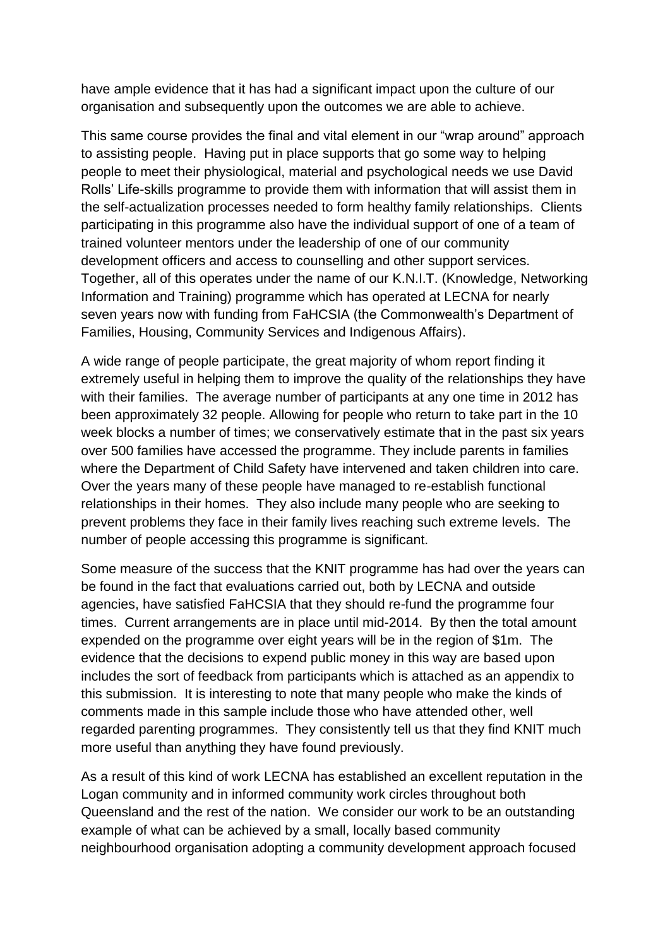have ample evidence that it has had a significant impact upon the culture of our organisation and subsequently upon the outcomes we are able to achieve.

This same course provides the final and vital element in our "wrap around" approach to assisting people. Having put in place supports that go some way to helping people to meet their physiological, material and psychological needs we use David Rolls' Life-skills programme to provide them with information that will assist them in the self-actualization processes needed to form healthy family relationships. Clients participating in this programme also have the individual support of one of a team of trained volunteer mentors under the leadership of one of our community development officers and access to counselling and other support services. Together, all of this operates under the name of our K.N.I.T. (Knowledge, Networking Information and Training) programme which has operated at LECNA for nearly seven years now with funding from FaHCSIA (the Commonwealth's Department of Families, Housing, Community Services and Indigenous Affairs).

A wide range of people participate, the great majority of whom report finding it extremely useful in helping them to improve the quality of the relationships they have with their families. The average number of participants at any one time in 2012 has been approximately 32 people. Allowing for people who return to take part in the 10 week blocks a number of times; we conservatively estimate that in the past six years over 500 families have accessed the programme. They include parents in families where the Department of Child Safety have intervened and taken children into care. Over the years many of these people have managed to re-establish functional relationships in their homes. They also include many people who are seeking to prevent problems they face in their family lives reaching such extreme levels. The number of people accessing this programme is significant.

Some measure of the success that the KNIT programme has had over the years can be found in the fact that evaluations carried out, both by LECNA and outside agencies, have satisfied FaHCSIA that they should re-fund the programme four times. Current arrangements are in place until mid-2014. By then the total amount expended on the programme over eight years will be in the region of \$1m. The evidence that the decisions to expend public money in this way are based upon includes the sort of feedback from participants which is attached as an appendix to this submission. It is interesting to note that many people who make the kinds of comments made in this sample include those who have attended other, well regarded parenting programmes. They consistently tell us that they find KNIT much more useful than anything they have found previously.

As a result of this kind of work LECNA has established an excellent reputation in the Logan community and in informed community work circles throughout both Queensland and the rest of the nation. We consider our work to be an outstanding example of what can be achieved by a small, locally based community neighbourhood organisation adopting a community development approach focused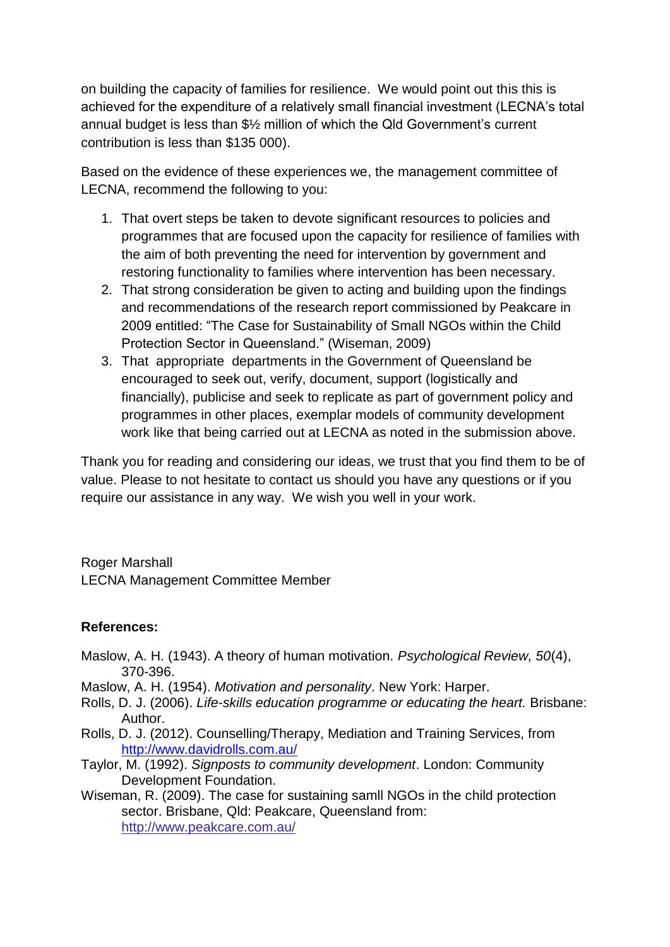on building the capacity of families for resilience. We would point out this this is achieved for the expenditure of a relatively small financial investment (LECNA's total annual budget is less than \$½ million of which the Qld Government's current contribution is less than \$135 000).

Based on the evidence of these experiences we, the management committee of LECNA, recommend the following to you:

- 1. That overt steps be taken to devote significant resources to policies and programmes that are focused upon the capacity for resilience of families with the aim of both preventing the need for intervention by government and restoring functionality to families where intervention has been necessary.
- 2. That strong consideration be given to acting and building upon the findings and recommendations of the research report commissioned by Peakcare in 2009 entitled: "The Case for Sustainability of Small NGOs within the Child Protection Sector in Queensland." [\(Wiseman, 2009\)](#page-3-5)
- 3. That appropriate departments in the Government of Queensland be encouraged to seek out, verify, document, support (logistically and financially), publicise and seek to replicate as part of government policy and programmes in other places, exemplar models of community development work like that being carried out at LECNA as noted in the submission above.

Thank you for reading and considering our ideas, we trust that you find them to be of value. Please to not hesitate to contact us should you have any questions or if you require our assistance in any way. We wish you well in your work.

Roger Marshall LECNA Management Committee Member

## **References:**

- <span id="page-3-1"></span>Maslow, A. H. (1943). A theory of human motivation. *Psychological Review, 50*(4), 370-396.
- <span id="page-3-2"></span>Maslow, A. H. (1954). *Motivation and personality*. New York: Harper.
- <span id="page-3-3"></span>Rolls, D. J. (2006). *Life-skills education programme or educating the heart.* Brisbane: Author.
- <span id="page-3-4"></span>Rolls, D. J. (2012). Counselling/Therapy, Mediation and Training Services, from <http://www.davidrolls.com.au/>
- <span id="page-3-0"></span>Taylor, M. (1992). *Signposts to community development*. London: Community Development Foundation.
- <span id="page-3-5"></span>Wiseman, R. (2009). The case for sustaining samll NGOs in the child protection sector. Brisbane, Qld: Peakcare, Queensland from: http://www.peakcare.com.au/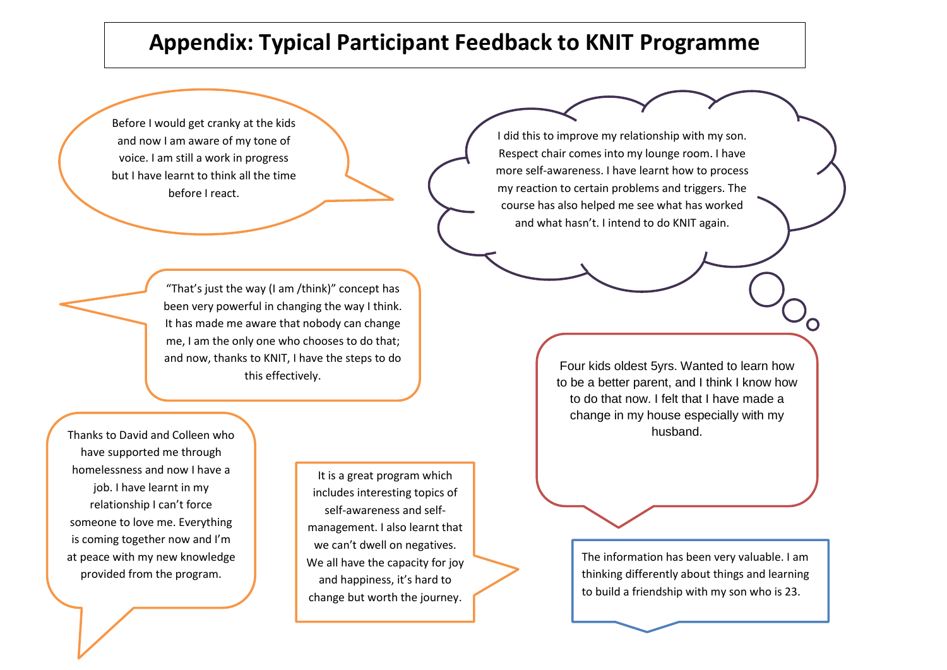## **Appendix: Typical Participant Feedback to KNIT Programme**

Before I would get cranky at the kids and now I am aware of my tone of voice. I am still a work in progress but I have learnt to think all the time before I react.

I did this to improve my relationship with my son. Respect chair comes into my lounge room. I have more self-awareness. I have learnt how to process my reaction to certain problems and triggers. The course has also helped me see what has worked and what hasn't. I intend to do KNIT again.

"That's just the way (I am /think)" concept has been very powerful in changing the way I think. It has made me aware that nobody can change me, I am the only one who chooses to do that; and now, thanks to KNIT, I have the steps to do this effectively.

Thanks to David and Colleen who have supported me through homelessness and now I have a job. I have learnt in my relationship I can't force someone to love me. Everything is coming together now and I'm at peace with my new knowledge provided from the program.

It is a great program which includes interesting topics of self-awareness and selfmanagement. I also learnt that we can't dwell on negatives. We all have the capacity for joy and happiness, it's hard to change but worth the journey.

.

Four kids oldest 5yrs. Wanted to learn how to be a better parent, and I think I know how to do that now. I felt that I have made a change in my house especially with my husband.

> The information has been very valuable. I am thinking differently about things and learning to build a friendship with my son who is 23.